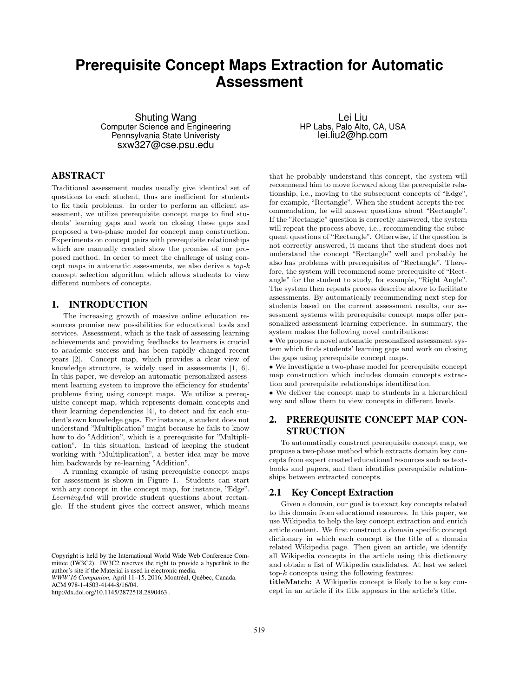# **Prerequisite Concept Maps Extraction for Automatic Assessment**

Shuting Wang Computer Science and Engineering Pennsylvania State Univeristy sxw327@cse.psu.edu

## ABSTRACT

Traditional assessment modes usually give identical set of questions to each student, thus are inefficient for students to fix their problems. In order to perform an efficient assessment, we utilize prerequisite concept maps to find students' learning gaps and work on closing these gaps and proposed a two-phase model for concept map construction. Experiments on concept pairs with prerequisite relationships which are manually created show the promise of our proposed method. In order to meet the challenge of using concept maps in automatic assessments, we also derive a  $top-k$ concept selection algorithm which allows students to view different numbers of concepts.

#### 1. INTRODUCTION

The increasing growth of massive online education resources promise new possibilities for educational tools and services. Assessment, which is the task of assessing learning achievements and providing feedbacks to learners is crucial to academic success and has been rapidly changed recent years [2]. Concept map, which provides a clear view of knowledge structure, is widely used in assessments [1, 6]. In this paper, we develop an automatic personalized assessment learning system to improve the efficiency for students' problems fixing using concept maps. We utilize a prerequisite concept map, which represents domain concepts and their learning dependencies [4], to detect and fix each student's own knowledge gaps. For instance, a student does not understand "Multiplication" might because he fails to know how to do "Addition", which is a prerequisite for "Multiplication". In this situation, instead of keeping the student working with "Multiplication", a better idea may be move him backwards by re-learning "Addition".

A running example of using prerequisite concept maps for assessment is shown in Figure 1. Students can start with any concept in the concept map, for instance, "Edge". LearningAid will provide student questions about rectangle. If the student gives the correct answer, which means

*WWW'16 Companion,* April 11–15, 2016, Montréal, Québec, Canada.

ACM 978-1-4503-4144-8/16/04.

http://dx.doi.org/10.1145/2872518.2890463 .

Lei Liu HP Labs, Palo Alto, CA, USA lei.liu2@hp.com

that he probably understand this concept, the system will recommend him to move forward along the prerequisite relationship, i.e., moving to the subsequent concepts of "Edge", for example, "Rectangle". When the student accepts the recommendation, he will answer questions about "Rectangle". If the "Rectangle" question is correctly answered, the system will repeat the process above, i.e., recommending the subsequent questions of "Rectangle". Otherwise, if the question is not correctly answered, it means that the student does not understand the concept "Rectangle" well and probably he also has problems with prerequisites of "Rectangle". Therefore, the system will recommend some prerequisite of "Rectangle" for the student to study, for example, "Right Angle". The system then repeats process describe above to facilitate assessments. By automatically recommending next step for students based on the current assessment results, our assessment systems with prerequisite concept maps offer personalized assessment learning experience. In summary, the system makes the following novel contributions:

• We propose a novel automatic personalized assessment system which finds students' learning gaps and work on closing the gaps using prerequisite concept maps.

• We investigate a two-phase model for prerequisite concept map construction which includes domain concepts extraction and prerequisite relationships identification.

• We deliver the concept map to students in a hierarchical way and allow them to view concepts in different levels.

## 2. PREREQUISITE CONCEPT MAP CON-STRUCTION

To automatically construct prerequisite concept map, we propose a two-phase method which extracts domain key concepts from expert created educational resources such as textbooks and papers, and then identifies prerequisite relationships between extracted concepts.

### 2.1 Key Concept Extraction

Given a domain, our goal is to exact key concepts related to this domain from educational resources. In this paper, we use Wikipedia to help the key concept extraction and enrich article content. We first construct a domain specific concept dictionary in which each concept is the title of a domain related Wikipedia page. Then given an article, we identify all Wikipedia concepts in the article using this dictionary and obtain a list of Wikipedia candidates. At last we select  $top-k$  concepts using the following features:

titleMatch: A Wikipedia concept is likely to be a key concept in an article if its title appears in the article's title.

Copyright is held by the International World Wide Web Conference Committee (IW3C2). IW3C2 reserves the right to provide a hyperlink to the author's site if the Material is used in electronic media.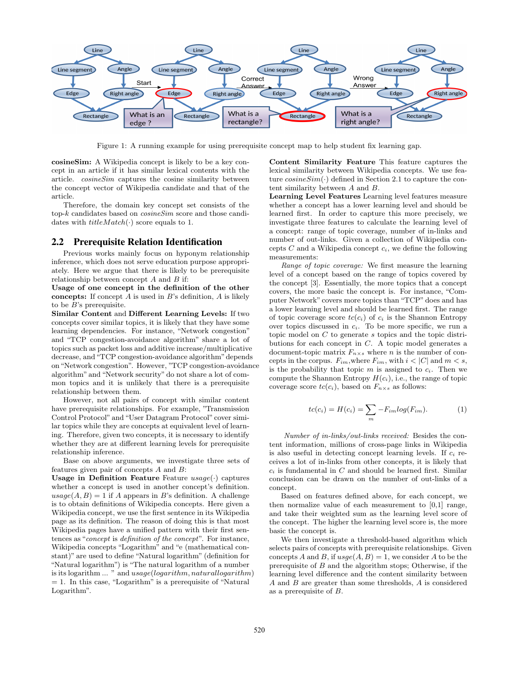

Figure 1: A running example for using prerequisite concept map to help student fix learning gap.

cosineSim: A Wikipedia concept is likely to be a key concept in an article if it has similar lexical contents with the article. cosineSim captures the cosine similarity between the concept vector of Wikipedia candidate and that of the article.

Therefore, the domain key concept set consists of the top-k candidates based on *cosineSim* score and those candidates with  $titleMatch(\cdot)$  score equals to 1.

#### 2.2 Prerequisite Relation Identification

Previous works mainly focus on hyponym relationship inference, which does not serve education purpose appropriately. Here we argue that there is likely to be prerequisite relationship between concept  $A$  and  $B$  if:

Usage of one concept in the definition of the other concepts: If concept  $A$  is used in  $B$ 's definition,  $A$  is likely to be  $B$ 's prerequisite.

Similar Content and Different Learning Levels: If two concepts cover similar topics, it is likely that they have some learning dependencies. For instance, "Network congestion" and "TCP congestion-avoidance algorithm" share a lot of topics such as packet loss and additive increase/multiplicative decrease, and "TCP congestion-avoidance algorithm" depends on"Network congestion". However, "TCP congestion-avoidance algorithm" and "Network security" do not share a lot of common topics and it is unlikely that there is a prerequisite relationship between them.

However, not all pairs of concept with similar content have prerequisite relationships. For example, "Transmission Control Protocol" and "User Datagram Protocol" cover similar topics while they are concepts at equivalent level of learning. Therefore, given two concepts, it is necessary to identify whether they are at different learning levels for prerequisite relationship inference.

Base on above arguments, we investigate three sets of features given pair of concepts A and B:

Usage in Definition Feature Feature  $usage(\cdot)$  captures whether a concept is used in another concept's definition.  $usage(A, B) = 1$  if A appears in B's definition. A challenge is to obtain definitions of Wikipedia concepts. Here given a Wikipedia concept, we use the first sentence in its Wikipedia page as its definition. The reason of doing this is that most Wikipedia pages have a unified pattern with their first sentences as "concept is definition of the concept". For instance, Wikipedia concepts "Logarithm" and "e (mathematical constant)" are used to define "Natural logarithm" (definition for "Natural logarithm") is "The natural logarithm of a number is its logarithm ... " and usage(logarithm, naturallogarithm)  $= 1$ . In this case, "Logarithm" is a prerequisite of "Natural Logarithm".

Content Similarity Feature This feature captures the lexical similarity between Wikipedia concepts. We use feature  $cosineSim(\cdot)$  defined in Section 2.1 to capture the content similarity between A and B.

Learning Level Features Learning level features measure whether a concept has a lower learning level and should be learned first. In order to capture this more precisely, we investigate three features to calculate the learning level of a concept: range of topic coverage, number of in-links and number of out-links. Given a collection of Wikipedia concepts  $C$  and a Wikipedia concept  $c_i$ , we define the following measurements:

Range of topic coverage: We first measure the learning level of a concept based on the range of topics covered by the concept [3]. Essentially, the more topics that a concept covers, the more basic the concept is. For instance, "Computer Network" covers more topics than "TCP" does and has a lower learning level and should be learned first. The range of topic coverage score  $tc(c_i)$  of  $c_i$  is the Shannon Entropy over topics discussed in  $c_i$ . To be more specific, we run a topic model on C to generate s topics and the topic distributions for each concept in C. A topic model generates a document-topic matrix  $F_{n\times s}$  where *n* is the number of concepts in the corpus.  $F_{im}$ , where  $F_{im}$ , with  $i < |C|$  and  $m < s$ , is the probability that topic m is assigned to  $c_i$ . Then we compute the Shannon Entropy  $H(c_i)$ , i.e., the range of topic coverage score  $tc(c_i)$ , based on  $F_{n \times s}$  as follows:

$$
tc(c_i) = H(c_i) = \sum_{m} -F_{im}log(F_{im}).
$$
 (1)

Number of in-links/out-links received: Besides the content information, millions of cross-page links in Wikipedia is also useful in detecting concept learning levels. If  $c_i$  receives a lot of in-links from other concepts, it is likely that  $c_i$  is fundamental in C and should be learned first. Similar conclusion can be drawn on the number of out-links of a concept.

Based on features defined above, for each concept, we then normalize value of each measurement to [0,1] range, and take their weighted sum as the learning level score of the concept. The higher the learning level score is, the more basic the concept is.

We then investigate a threshold-based algorithm which selects pairs of concepts with prerequisite relationships. Given concepts A and B, if  $use(A, B) = 1$ , we consider A to be the prerequisite of  $B$  and the algorithm stops; Otherwise, if the learning level difference and the content similarity between A and B are greater than some thresholds, A is considered as a prerequisite of B.